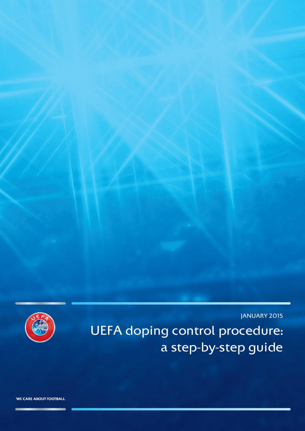JANUARY 2015

UEFA doping control procedure: a step-by-step guide



WE CARE ABOUT FOOTBALL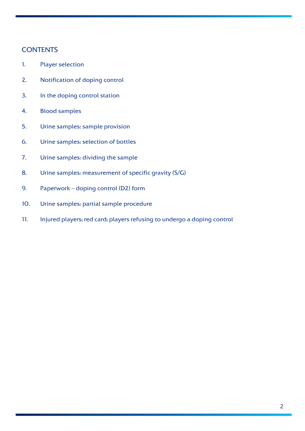## **CONTENTS**

- 1. Player selection
- 2. Notification of doping control
- 3. In the doping control station
- 4. Blood samples
- 5. Urine samples: sample provision
- 6. Urine samples: selection of bottles
- 7. Urine samples: dividing the sample
- 8. Urine samples: measurement of specific gravity (S/G)
- 9. Paperwork doping control (D2) form
- 10. Urine samples: partial sample procedure
- 11. Injured players; red card; players refusing to undergo a doping control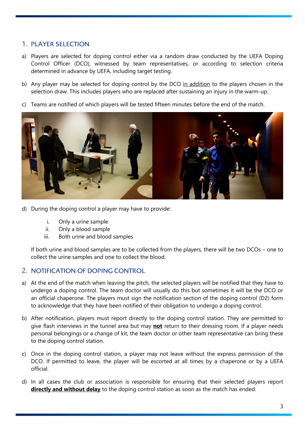# 1. PLAYER SELECTION

- a) Players are selected for doping control either via a random draw conducted by the UEFA Doping Control Officer (DCO), witnessed by team representatives, or according to selection criteria determined in advance by UEFA, including target testing.
- b) Any player may be selected for doping control by the DCO in addition to the players chosen in the selection draw. This includes players who are replaced after sustaining an injury in the warm-up.
- c) Teams are notified of which players will be tested fifteen minutes before the end of the match.



- d) During the doping control a player may have to provide:
	- i. Only a urine sample
	- ii. Only a blood sample
	- iii. Both urine and blood samples

If both urine and blood samples are to be collected from the players, there will be two DCOs – one to collect the urine samples and one to collect the blood.

### 2. NOTIFICATION OF DOPING CONTROL

- a) At the end of the match when leaving the pitch, the selected players will be notified that they have to undergo a doping control. The team doctor will usually do this but sometimes it will be the DCO or an official chaperone. The players must sign the notification section of the doping control (D2) form to acknowledge that they have been notified of their obligation to undergo a doping control.
- b) After notification, players must report directly to the doping control station. They are permitted to give flash interviews in the tunnel area but may **not** return to their dressing room. If a player needs personal belongings or a change of kit, the team doctor or other team representative can bring these to the doping control station.
- c) Once in the doping control station, a player may not leave without the express permission of the DCO. If permitted to leave, the player will be escorted at all times by a chaperone or by a UEFA official.
- d) In all cases the club or association is responsible for ensuring that their selected players report **directly and without delay** to the doping control station as soon as the match has ended.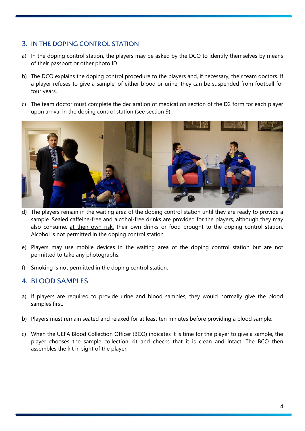# 3. IN THE DOPING CONTROL STATION

- a) In the doping control station, the players may be asked by the DCO to identify themselves by means of their passport or other photo ID.
- b) The DCO explains the doping control procedure to the players and, if necessary, their team doctors. If a player refuses to give a sample, of either blood or urine, they can be suspended from football for four years.
- c) The team doctor must complete the declaration of medication section of the D2 form for each player upon arrival in the doping control station (see section 9).



- d) The players remain in the waiting area of the doping control station until they are ready to provide a sample. Sealed caffeine-free and alcohol-free drinks are provided for the players, although they may also consume, at their own risk, their own drinks or food brought to the doping control station. Alcohol is not permitted in the doping control station.
- e) Players may use mobile devices in the waiting area of the doping control station but are not permitted to take any photographs.
- f) Smoking is not permitted in the doping control station.

# 4. BLOOD SAMPLES

- a) If players are required to provide urine and blood samples, they would normally give the blood samples first.
- b) Players must remain seated and relaxed for at least ten minutes before providing a blood sample.
- c) When the UEFA Blood Collection Officer (BCO) indicates it is time for the player to give a sample, the player chooses the sample collection kit and checks that it is clean and intact. The BCO then assembles the kit in sight of the player.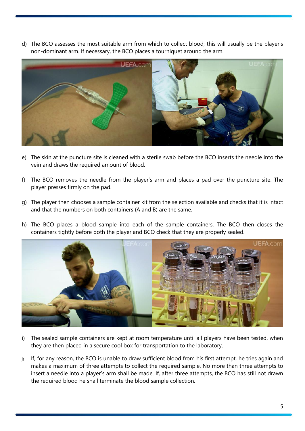d) The BCO assesses the most suitable arm from which to collect blood; this will usually be the player's non-dominant arm. If necessary, the BCO places a tourniquet around the arm.



- e) The skin at the puncture site is cleaned with a sterile swab before the BCO inserts the needle into the vein and draws the required amount of blood.
- f) The BCO removes the needle from the player's arm and places a pad over the puncture site. The player presses firmly on the pad.
- g) The player then chooses a sample container kit from the selection available and checks that it is intact and that the numbers on both containers (A and B) are the same.
- h) The BCO places a blood sample into each of the sample containers. The BCO then closes the containers tightly before both the player and BCO check that they are properly sealed.



- i) The sealed sample containers are kept at room temperature until all players have been tested, when they are then placed in a secure cool box for transportation to the laboratory.
- j) If, for any reason, the BCO is unable to draw sufficient blood from his first attempt, he tries again and makes a maximum of three attempts to collect the required sample. No more than three attempts to insert a needle into a player's arm shall be made. If, after three attempts, the BCO has still not drawn the required blood he shall terminate the blood sample collection.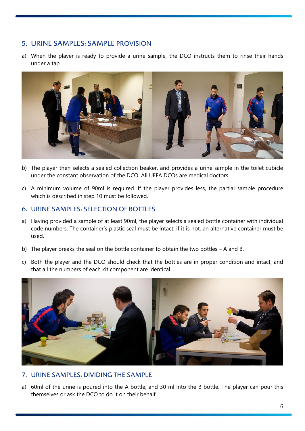## 5. URINE SAMPLES: SAMPLE PROVISION

a) When the player is ready to provide a urine sample, the DCO instructs them to rinse their hands under a tap.



- b) The player then selects a sealed collection beaker, and provides a urine sample in the toilet cubicle under the constant observation of the DCO. All UEFA DCOs are medical doctors.
- c) A minimum volume of 90ml is required. If the player provides less, the partial sample procedure which is described in step 10 must be followed.

#### 6. URINE SAMPLES: SELECTION OF BOTTLES

- a) Having provided a sample of at least 90ml, the player selects a sealed bottle container with individual code numbers. The container's plastic seal must be intact; if it is not, an alternative container must be used.
- b) The player breaks the seal on the bottle container to obtain the two bottles A and B.
- c) Both the player and the DCO should check that the bottles are in proper condition and intact, and that all the numbers of each kit component are identical.



#### 7. URINE SAMPLES: DIVIDING THE SAMPLE

a) 60ml of the urine is poured into the A bottle, and 30 ml into the B bottle. The player can pour this themselves or ask the DCO to do it on their behalf.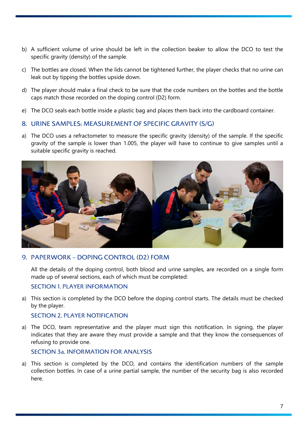- b) A sufficient volume of urine should be left in the collection beaker to allow the DCO to test the specific gravity (density) of the sample.
- c) The bottles are closed. When the lids cannot be tightened further, the player checks that no urine can leak out by tipping the bottles upside down.
- d) The player should make a final check to be sure that the code numbers on the bottles and the bottle caps match those recorded on the doping control (D2) form.
- e) The DCO seals each bottle inside a plastic bag and places them back into the cardboard container.

#### 8. URINE SAMPLES: MEASUREMENT OF SPECIFIC GRAVITY (S/G)

a) The DCO uses a refractometer to measure the specific gravity (density) of the sample. If the specific gravity of the sample is lower than 1.005, the player will have to continue to give samples until a suitable specific gravity is reached.



#### 9. PAPERWORK – DOPING CONTROL (D2) FORM

All the details of the doping control, both blood and urine samples, are recorded on a single form made up of several sections, each of which must be completed:

#### SECTION 1. PLAYER INFORMATION

a) This section is completed by the DCO before the doping control starts. The details must be checked by the player.

#### SECTION 2. PLAYER NOTIFICATION

a) The DCO, team representative and the player must sign this notification. In signing, the player indicates that they are aware they must provide a sample and that they know the consequences of refusing to provide one.

#### SECTION 3a. INFORMATION FOR ANALYSIS

a) This section is completed by the DCO, and contains the identification numbers of the sample collection bottles. In case of a urine partial sample, the number of the security bag is also recorded here.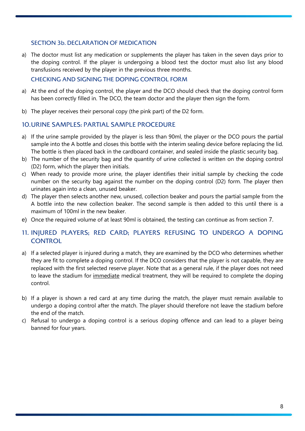### SECTION 3b. DECLARATION OF MEDICATION

a) The doctor must list any medication or supplements the player has taken in the seven days prior to the doping control. If the player is undergoing a blood test the doctor must also list any blood transfusions received by the player in the previous three months.

### CHECKING AND SIGNING THE DOPING CONTROL FORM

- a) At the end of the doping control, the player and the DCO should check that the doping control form has been correctly filled in. The DCO, the team doctor and the player then sign the form.
- b) The player receives their personal copy (the pink part) of the D2 form.

### 10.URINE SAMPLES: PARTIAL SAMPLE PROCEDURE

- a) If the urine sample provided by the player is less than 90ml, the player or the DCO pours the partial sample into the A bottle and closes this bottle with the interim sealing device before replacing the lid. The bottle is then placed back in the cardboard container, and sealed inside the plastic security bag.
- b) The number of the security bag and the quantity of urine collected is written on the doping control (D2) form, which the player then initials.
- c) When ready to provide more urine, the player identifies their initial sample by checking the code number on the security bag against the number on the doping control (D2) form. The player then urinates again into a clean, unused beaker.
- d) The player then selects another new, unused, collection beaker and pours the partial sample from the A bottle into the new collection beaker. The second sample is then added to this until there is a maximum of 100ml in the new beaker.
- e) Once the required volume of at least 90ml is obtained, the testing can continue as from section 7.

# 11. INJURED PLAYERS; RED CARD; PLAYERS REFUSING TO UNDERGO A DOPING **CONTROL**

- a) If a selected player is injured during a match, they are examined by the DCO who determines whether they are fit to complete a doping control. If the DCO considers that the player is not capable, they are replaced with the first selected reserve player. Note that as a general rule, if the player does not need to leave the stadium for immediate medical treatment, they will be required to complete the doping control.
- b) If a player is shown a red card at any time during the match, the player must remain available to undergo a doping control after the match. The player should therefore not leave the stadium before the end of the match.
- c) Refusal to undergo a doping control is a serious doping offence and can lead to a player being banned for four years.